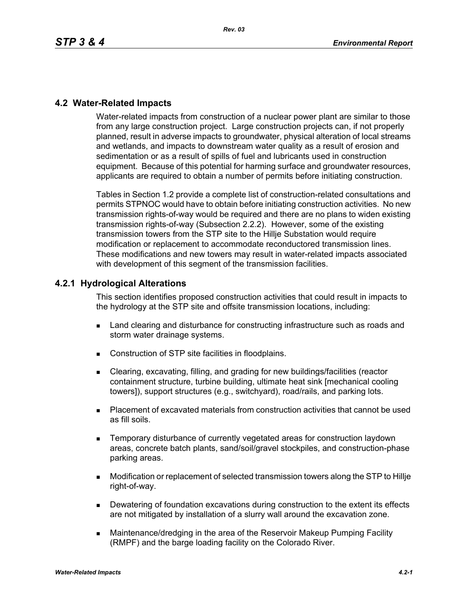### **4.2 Water-Related Impacts**

Water-related impacts from construction of a nuclear power plant are similar to those from any large construction project. Large construction projects can, if not properly planned, result in adverse impacts to groundwater, physical alteration of local streams and wetlands, and impacts to downstream water quality as a result of erosion and sedimentation or as a result of spills of fuel and lubricants used in construction equipment. Because of this potential for harming surface and groundwater resources, applicants are required to obtain a number of permits before initiating construction.

Tables in Section 1.2 provide a complete list of construction-related consultations and permits STPNOC would have to obtain before initiating construction activities. No new transmission rights-of-way would be required and there are no plans to widen existing transmission rights-of-way (Subsection 2.2.2). However, some of the existing transmission towers from the STP site to the Hillje Substation would require modification or replacement to accommodate reconductored transmission lines. These modifications and new towers may result in water-related impacts associated with development of this segment of the transmission facilities.

#### **4.2.1 Hydrological Alterations**

This section identifies proposed construction activities that could result in impacts to the hydrology at the STP site and offsite transmission locations, including:

- **EXECT** Land clearing and disturbance for constructing infrastructure such as roads and storm water drainage systems.
- Construction of STP site facilities in floodplains.
- Clearing, excavating, filling, and grading for new buildings/facilities (reactor containment structure, turbine building, ultimate heat sink [mechanical cooling towers]), support structures (e.g., switchyard), road/rails, and parking lots.
- Placement of excavated materials from construction activities that cannot be used as fill soils.
- Temporary disturbance of currently vegetated areas for construction laydown areas, concrete batch plants, sand/soil/gravel stockpiles, and construction-phase parking areas.
- Modification or replacement of selected transmission towers along the STP to Hillje right-of-way.
- Dewatering of foundation excavations during construction to the extent its effects are not mitigated by installation of a slurry wall around the excavation zone.
- Maintenance/dredging in the area of the Reservoir Makeup Pumping Facility (RMPF) and the barge loading facility on the Colorado River.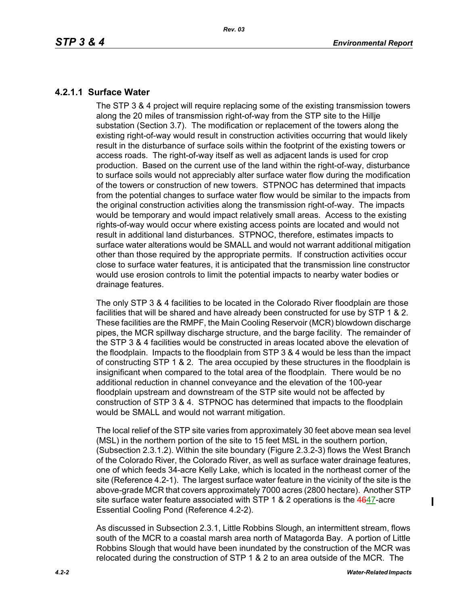## **4.2.1.1 Surface Water**

The STP 3 & 4 project will require replacing some of the existing transmission towers along the 20 miles of transmission right-of-way from the STP site to the Hillje substation (Section 3.7). The modification or replacement of the towers along the existing right-of-way would result in construction activities occurring that would likely result in the disturbance of surface soils within the footprint of the existing towers or access roads. The right-of-way itself as well as adjacent lands is used for crop production. Based on the current use of the land within the right-of-way, disturbance to surface soils would not appreciably alter surface water flow during the modification of the towers or construction of new towers. STPNOC has determined that impacts from the potential changes to surface water flow would be similar to the impacts from the original construction activities along the transmission right-of-way. The impacts would be temporary and would impact relatively small areas. Access to the existing rights-of-way would occur where existing access points are located and would not result in additional land disturbances. STPNOC, therefore, estimates impacts to surface water alterations would be SMALL and would not warrant additional mitigation other than those required by the appropriate permits. If construction activities occur close to surface water features, it is anticipated that the transmission line constructor would use erosion controls to limit the potential impacts to nearby water bodies or drainage features.

The only STP 3 & 4 facilities to be located in the Colorado River floodplain are those facilities that will be shared and have already been constructed for use by STP 1 & 2. These facilities are the RMPF, the Main Cooling Reservoir (MCR) blowdown discharge pipes, the MCR spillway discharge structure, and the barge facility. The remainder of the STP 3 & 4 facilities would be constructed in areas located above the elevation of the floodplain. Impacts to the floodplain from STP 3 & 4 would be less than the impact of constructing STP 1 & 2. The area occupied by these structures in the floodplain is insignificant when compared to the total area of the floodplain. There would be no additional reduction in channel conveyance and the elevation of the 100-year floodplain upstream and downstream of the STP site would not be affected by construction of STP 3 & 4. STPNOC has determined that impacts to the floodplain would be SMALL and would not warrant mitigation.

The local relief of the STP site varies from approximately 30 feet above mean sea level (MSL) in the northern portion of the site to 15 feet MSL in the southern portion, (Subsection 2.3.1.2). Within the site boundary (Figure 2.3.2-3) flows the West Branch of the Colorado River, the Colorado River, as well as surface water drainage features, one of which feeds 34-acre Kelly Lake, which is located in the northeast corner of the site (Reference 4.2-1). The largest surface water feature in the vicinity of the site is the above-grade MCR that covers approximately 7000 acres (2800 hectare). Another STP site surface water feature associated with STP 1 & 2 operations is the 4647-acre Essential Cooling Pond (Reference 4.2-2).

As discussed in Subsection 2.3.1, Little Robbins Slough, an intermittent stream, flows south of the MCR to a coastal marsh area north of Matagorda Bay. A portion of Little Robbins Slough that would have been inundated by the construction of the MCR was relocated during the construction of STP 1 & 2 to an area outside of the MCR. The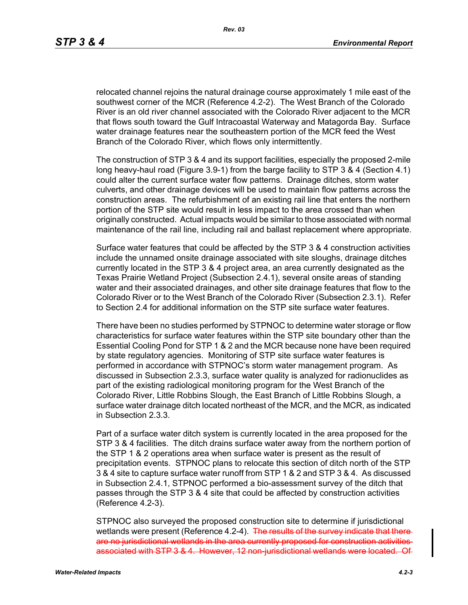relocated channel rejoins the natural drainage course approximately 1 mile east of the southwest corner of the MCR (Reference 4.2-2). The West Branch of the Colorado River is an old river channel associated with the Colorado River adjacent to the MCR that flows south toward the Gulf Intracoastal Waterway and Matagorda Bay. Surface water drainage features near the southeastern portion of the MCR feed the West Branch of the Colorado River, which flows only intermittently.

The construction of STP 3 & 4 and its support facilities, especially the proposed 2-mile long heavy-haul road (Figure 3.9-1) from the barge facility to STP 3 & 4 (Section 4.1) could alter the current surface water flow patterns. Drainage ditches, storm water culverts, and other drainage devices will be used to maintain flow patterns across the construction areas. The refurbishment of an existing rail line that enters the northern portion of the STP site would result in less impact to the area crossed than when originally constructed. Actual impacts would be similar to those associated with normal maintenance of the rail line, including rail and ballast replacement where appropriate.

Surface water features that could be affected by the STP 3 & 4 construction activities include the unnamed onsite drainage associated with site sloughs, drainage ditches currently located in the STP 3 & 4 project area, an area currently designated as the Texas Prairie Wetland Project (Subsection 2.4.1), several onsite areas of standing water and their associated drainages, and other site drainage features that flow to the Colorado River or to the West Branch of the Colorado River (Subsection 2.3.1). Refer to Section 2.4 for additional information on the STP site surface water features.

There have been no studies performed by STPNOC to determine water storage or flow characteristics for surface water features within the STP site boundary other than the Essential Cooling Pond for STP 1 & 2 and the MCR because none have been required by state regulatory agencies. Monitoring of STP site surface water features is performed in accordance with STPNOC's storm water management program. As discussed in Subsection 2.3.3, surface water quality is analyzed for radionuclides as part of the existing radiological monitoring program for the West Branch of the Colorado River, Little Robbins Slough, the East Branch of Little Robbins Slough, a surface water drainage ditch located northeast of the MCR, and the MCR, as indicated in Subsection 2.3.3.

Part of a surface water ditch system is currently located in the area proposed for the STP 3 & 4 facilities. The ditch drains surface water away from the northern portion of the STP 1 & 2 operations area when surface water is present as the result of precipitation events. STPNOC plans to relocate this section of ditch north of the STP 3 & 4 site to capture surface water runoff from STP 1 & 2 and STP 3 & 4. As discussed in Subsection 2.4.1, STPNOC performed a bio-assessment survey of the ditch that passes through the STP 3 & 4 site that could be affected by construction activities (Reference 4.2-3).

STPNOC also surveyed the proposed construction site to determine if jurisdictional wetlands were present (Reference 4.2-4). The results of the survey indicate that thereare no jurisdictional wetlands in the area currently proposed for construction activities associated with STP 3 & 4. However, 12 non-jurisdictional wetlands were located.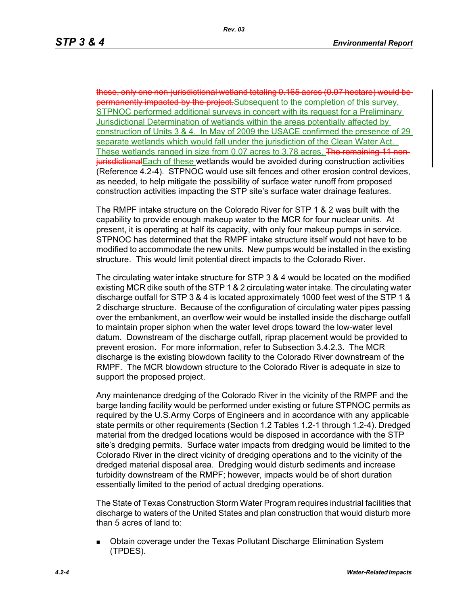these, only one non-jurisdictional wetland totaling 0.165 acres (0.07 hectare) would be permanently impacted by the project. Subsequent to the completion of this survey, STPNOC performed additional surveys in concert with its request for a Preliminary Jurisdictional Determination of wetlands within the areas potentially affected by construction of Units 3 & 4. In May of 2009 the USACE confirmed the presence of 29 separate wetlands which would fall under the jurisdiction of the Clean Water Act. These wetlands ranged in size from 0.07 acres to 3.78 acres. The remaining 11 nonjurisdictionalEach of these wetlands would be avoided during construction activities (Reference 4.2-4). STPNOC would use silt fences and other erosion control devices, as needed, to help mitigate the possibility of surface water runoff from proposed construction activities impacting the STP site's surface water drainage features.

The RMPF intake structure on the Colorado River for STP 1 & 2 was built with the capability to provide enough makeup water to the MCR for four nuclear units. At present, it is operating at half its capacity, with only four makeup pumps in service. STPNOC has determined that the RMPF intake structure itself would not have to be modified to accommodate the new units. New pumps would be installed in the existing structure. This would limit potential direct impacts to the Colorado River.

The circulating water intake structure for STP 3 & 4 would be located on the modified existing MCR dike south of the STP 1 & 2 circulating water intake. The circulating water discharge outfall for STP 3 & 4 is located approximately 1000 feet west of the STP 1 & 2 discharge structure. Because of the configuration of circulating water pipes passing over the embankment, an overflow weir would be installed inside the discharge outfall to maintain proper siphon when the water level drops toward the low-water level datum. Downstream of the discharge outfall, riprap placement would be provided to prevent erosion. For more information, refer to Subsection 3.4.2.3. The MCR discharge is the existing blowdown facility to the Colorado River downstream of the RMPF. The MCR blowdown structure to the Colorado River is adequate in size to support the proposed project.

Any maintenance dredging of the Colorado River in the vicinity of the RMPF and the barge landing facility would be performed under existing or future STPNOC permits as required by the U.S.Army Corps of Engineers and in accordance with any applicable state permits or other requirements (Section 1.2 Tables 1.2-1 through 1.2-4). Dredged material from the dredged locations would be disposed in accordance with the STP site's dredging permits. Surface water impacts from dredging would be limited to the Colorado River in the direct vicinity of dredging operations and to the vicinity of the dredged material disposal area. Dredging would disturb sediments and increase turbidity downstream of the RMPF; however, impacts would be of short duration essentially limited to the period of actual dredging operations.

The State of Texas Construction Storm Water Program requires industrial facilities that discharge to waters of the United States and plan construction that would disturb more than 5 acres of land to:

 Obtain coverage under the Texas Pollutant Discharge Elimination System (TPDES).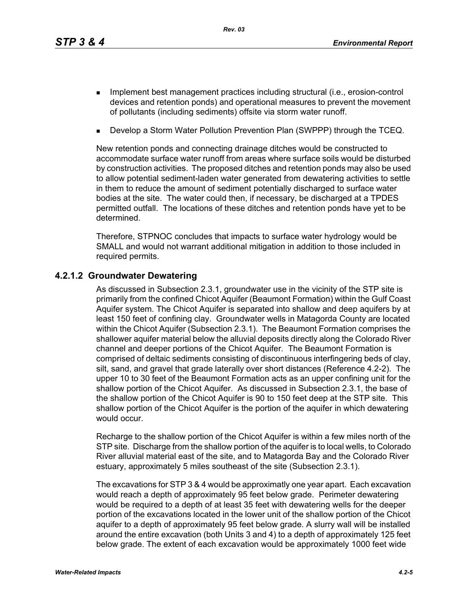*Rev. 03*

- **IMPLEMENT MANAGEMENT EXAMPLE THE IMPLEMENT INCORDIT IN THE IMPLEMENT INCORDENT INCORDIT IN THE IMPLEMENT INCORDIT IN THE IMPLEMENT INCORDENT INCORDITION** devices and retention ponds) and operational measures to prevent the movement of pollutants (including sediments) offsite via storm water runoff.
- Develop a Storm Water Pollution Prevention Plan (SWPPP) through the TCEQ.

New retention ponds and connecting drainage ditches would be constructed to accommodate surface water runoff from areas where surface soils would be disturbed by construction activities. The proposed ditches and retention ponds may also be used to allow potential sediment-laden water generated from dewatering activities to settle in them to reduce the amount of sediment potentially discharged to surface water bodies at the site. The water could then, if necessary, be discharged at a TPDES permitted outfall. The locations of these ditches and retention ponds have yet to be determined.

Therefore, STPNOC concludes that impacts to surface water hydrology would be SMALL and would not warrant additional mitigation in addition to those included in required permits.

#### **4.2.1.2 Groundwater Dewatering**

As discussed in Subsection 2.3.1, groundwater use in the vicinity of the STP site is primarily from the confined Chicot Aquifer (Beaumont Formation) within the Gulf Coast Aquifer system. The Chicot Aquifer is separated into shallow and deep aquifers by at least 150 feet of confining clay. Groundwater wells in Matagorda County are located within the Chicot Aquifer (Subsection 2.3.1). The Beaumont Formation comprises the shallower aquifer material below the alluvial deposits directly along the Colorado River channel and deeper portions of the Chicot Aquifer. The Beaumont Formation is comprised of deltaic sediments consisting of discontinuous interfingering beds of clay, silt, sand, and gravel that grade laterally over short distances (Reference 4.2-2). The upper 10 to 30 feet of the Beaumont Formation acts as an upper confining unit for the shallow portion of the Chicot Aquifer. As discussed in Subsection 2.3.1, the base of the shallow portion of the Chicot Aquifer is 90 to 150 feet deep at the STP site. This shallow portion of the Chicot Aquifer is the portion of the aquifer in which dewatering would occur.

Recharge to the shallow portion of the Chicot Aquifer is within a few miles north of the STP site. Discharge from the shallow portion of the aquifer is to local wells, to Colorado River alluvial material east of the site, and to Matagorda Bay and the Colorado River estuary, approximately 5 miles southeast of the site (Subsection 2.3.1).

The excavations for STP 3 & 4 would be approximatly one year apart. Each excavation would reach a depth of approximately 95 feet below grade. Perimeter dewatering would be required to a depth of at least 35 feet with dewatering wells for the deeper portion of the excavations located in the lower unit of the shallow portion of the Chicot aquifer to a depth of approximately 95 feet below grade. A slurry wall will be installed around the entire excavation (both Units 3 and 4) to a depth of approximately 125 feet below grade. The extent of each excavation would be approximately 1000 feet wide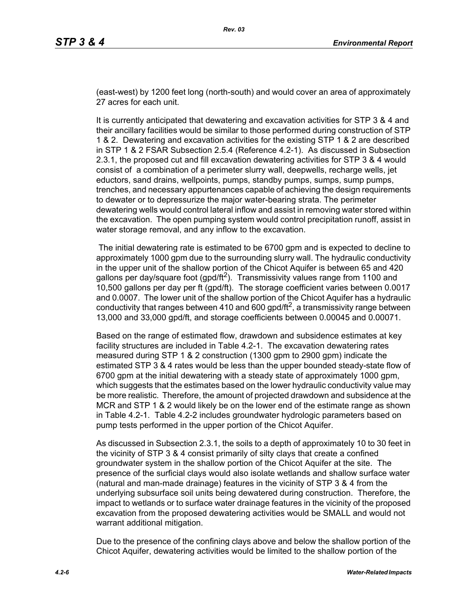(east-west) by 1200 feet long (north-south) and would cover an area of approximately 27 acres for each unit.

It is currently anticipated that dewatering and excavation activities for STP 3 & 4 and their ancillary facilities would be similar to those performed during construction of STP 1 & 2. Dewatering and excavation activities for the existing STP 1 & 2 are described in STP 1 & 2 FSAR Subsection 2.5.4 (Reference 4.2-1). As discussed in Subsection 2.3.1, the proposed cut and fill excavation dewatering activities for STP 3 & 4 would consist of a combination of a perimeter slurry wall, deepwells, recharge wells, jet eductors, sand drains, wellpoints, pumps, standby pumps, sumps, sump pumps, trenches, and necessary appurtenances capable of achieving the design requirements to dewater or to depressurize the major water-bearing strata. The perimeter dewatering wells would control lateral inflow and assist in removing water stored within the excavation. The open pumping system would control precipitation runoff, assist in water storage removal, and any inflow to the excavation.

 The initial dewatering rate is estimated to be 6700 gpm and is expected to decline to approximately 1000 gpm due to the surrounding slurry wall. The hydraulic conductivity in the upper unit of the shallow portion of the Chicot Aquifer is between 65 and 420 gallons per day/square foot (gpd/ft<sup>2</sup>). Transmissivity values range from 1100 and 10,500 gallons per day per ft (gpd/ft). The storage coefficient varies between 0.0017 and 0.0007. The lower unit of the shallow portion of the Chicot Aquifer has a hydraulic conductivity that ranges between 410 and 600 gpd/ft<sup>2</sup>, a transmissivity range between 13,000 and 33,000 gpd/ft, and storage coefficients between 0.00045 and 0.00071.

Based on the range of estimated flow, drawdown and subsidence estimates at key facility structures are included in Table 4.2-1. The excavation dewatering rates measured during STP 1 & 2 construction (1300 gpm to 2900 gpm) indicate the estimated STP 3 & 4 rates would be less than the upper bounded steady-state flow of 6700 gpm at the initial dewatering with a steady state of approximately 1000 gpm, which suggests that the estimates based on the lower hydraulic conductivity value may be more realistic. Therefore, the amount of projected drawdown and subsidence at the MCR and STP 1 & 2 would likely be on the lower end of the estimate range as shown in Table 4.2-1. Table 4.2-2 includes groundwater hydrologic parameters based on pump tests performed in the upper portion of the Chicot Aquifer.

As discussed in Subsection 2.3.1, the soils to a depth of approximately 10 to 30 feet in the vicinity of STP 3 & 4 consist primarily of silty clays that create a confined groundwater system in the shallow portion of the Chicot Aquifer at the site. The presence of the surficial clays would also isolate wetlands and shallow surface water (natural and man-made drainage) features in the vicinity of STP 3 & 4 from the underlying subsurface soil units being dewatered during construction. Therefore, the impact to wetlands or to surface water drainage features in the vicinity of the proposed excavation from the proposed dewatering activities would be SMALL and would not warrant additional mitigation.

Due to the presence of the confining clays above and below the shallow portion of the Chicot Aquifer, dewatering activities would be limited to the shallow portion of the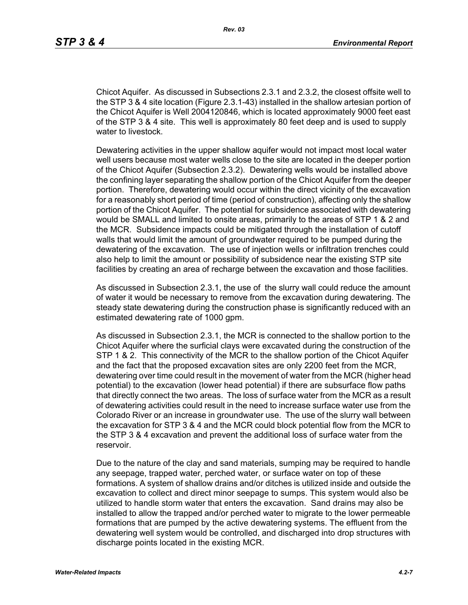Chicot Aquifer. As discussed in Subsections 2.3.1 and 2.3.2, the closest offsite well to the STP 3 & 4 site location (Figure 2.3.1-43) installed in the shallow artesian portion of the Chicot Aquifer is Well 2004120846, which is located approximately 9000 feet east of the STP 3 & 4 site. This well is approximately 80 feet deep and is used to supply water to livestock.

Dewatering activities in the upper shallow aquifer would not impact most local water well users because most water wells close to the site are located in the deeper portion of the Chicot Aquifer (Subsection 2.3.2). Dewatering wells would be installed above the confining layer separating the shallow portion of the Chicot Aquifer from the deeper portion. Therefore, dewatering would occur within the direct vicinity of the excavation for a reasonably short period of time (period of construction), affecting only the shallow portion of the Chicot Aquifer. The potential for subsidence associated with dewatering would be SMALL and limited to onsite areas, primarily to the areas of STP 1 & 2 and the MCR. Subsidence impacts could be mitigated through the installation of cutoff walls that would limit the amount of groundwater required to be pumped during the dewatering of the excavation. The use of injection wells or infiltration trenches could also help to limit the amount or possibility of subsidence near the existing STP site facilities by creating an area of recharge between the excavation and those facilities.

As discussed in Subsection 2.3.1, the use of the slurry wall could reduce the amount of water it would be necessary to remove from the excavation during dewatering. The steady state dewatering during the construction phase is significantly reduced with an estimated dewatering rate of 1000 gpm.

As discussed in Subsection 2.3.1, the MCR is connected to the shallow portion to the Chicot Aquifer where the surficial clays were excavated during the construction of the STP 1 & 2. This connectivity of the MCR to the shallow portion of the Chicot Aquifer and the fact that the proposed excavation sites are only 2200 feet from the MCR, dewatering over time could result in the movement of water from the MCR (higher head potential) to the excavation (lower head potential) if there are subsurface flow paths that directly connect the two areas. The loss of surface water from the MCR as a result of dewatering activities could result in the need to increase surface water use from the Colorado River or an increase in groundwater use. The use of the slurry wall between the excavation for STP 3 & 4 and the MCR could block potential flow from the MCR to the STP 3 & 4 excavation and prevent the additional loss of surface water from the reservoir.

Due to the nature of the clay and sand materials, sumping may be required to handle any seepage, trapped water, perched water, or surface water on top of these formations. A system of shallow drains and/or ditches is utilized inside and outside the excavation to collect and direct minor seepage to sumps. This system would also be utilized to handle storm water that enters the excavation. Sand drains may also be installed to allow the trapped and/or perched water to migrate to the lower permeable formations that are pumped by the active dewatering systems. The effluent from the dewatering well system would be controlled, and discharged into drop structures with discharge points located in the existing MCR.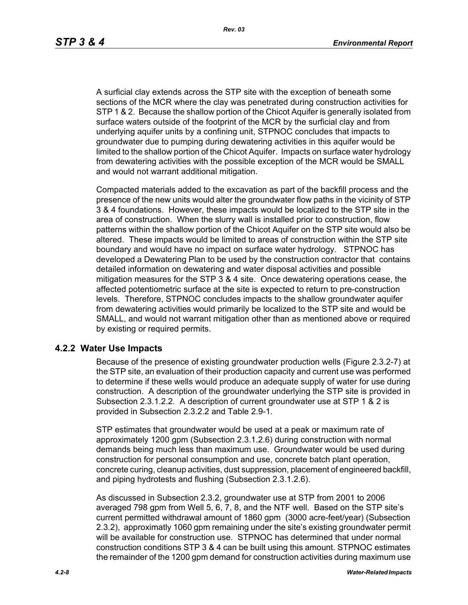A surficial clay extends across the STP site with the exception of beneath some sections of the MCR where the clay was penetrated during construction activities for STP 1 & 2. Because the shallow portion of the Chicot Aquifer is generally isolated from surface waters outside of the footprint of the MCR by the surficial clay and from underlying aquifer units by a confining unit, STPNOC concludes that impacts to groundwater due to pumping during dewatering activities in this aquifer would be limited to the shallow portion of the Chicot Aquifer. Impacts on surface water hydrology from dewatering activities with the possible exception of the MCR would be SMALL and would not warrant additional mitigation.

Compacted materials added to the excavation as part of the backfill process and the presence of the new units would alter the groundwater flow paths in the vicinity of STP 3 & 4 foundations. However, these impacts would be localized to the STP site in the area of construction. When the slurry wall is installed prior to construction, flow patterns within the shallow portion of the Chicot Aquifer on the STP site would also be altered. These impacts would be limited to areas of construction within the STP site boundary and would have no impact on surface water hydrology. STPNOC has developed a Dewatering Plan to be used by the construction contractor that contains detailed information on dewatering and water disposal activities and possible mitigation measures for the STP 3 & 4 site. Once dewatering operations cease, the affected potentiometric surface at the site is expected to return to pre-construction levels. Therefore, STPNOC concludes impacts to the shallow groundwater aquifer from dewatering activities would primarily be localized to the STP site and would be SMALL, and would not warrant mitigation other than as mentioned above or required by existing or required permits.

#### **4.2.2 Water Use Impacts**

Because of the presence of existing groundwater production wells (Figure 2.3.2-7) at the STP site, an evaluation of their production capacity and current use was performed to determine if these wells would produce an adequate supply of water for use during construction. A description of the groundwater underlying the STP site is provided in Subsection 2.3.1.2.2. A description of current groundwater use at STP 1 & 2 is provided in Subsection 2.3.2.2 and Table 2.9-1.

STP estimates that groundwater would be used at a peak or maximum rate of approximately 1200 gpm (Subsection 2.3.1.2.6) during construction with normal demands being much less than maximum use. Groundwater would be used during construction for personal consumption and use, concrete batch plant operation, concrete curing, cleanup activities, dust suppression, placement of engineered backfill, and piping hydrotests and flushing (Subsection 2.3.1.2.6).

As discussed in Subsection 2.3.2, groundwater use at STP from 2001 to 2006 averaged 798 gpm from Well 5, 6, 7, 8, and the NTF well. Based on the STP site's current permitted withdrawal amount of 1860 gpm (3000 acre-feet/year) (Subsection 2.3.2), approximatly 1060 gpm remaining under the site's existing groundwater permit will be available for construction use. STPNOC has determined that under normal construction conditions STP 3 & 4 can be built using this amount. STPNOC estimates the remainder of the 1200 gpm demand for construction activities during maximum use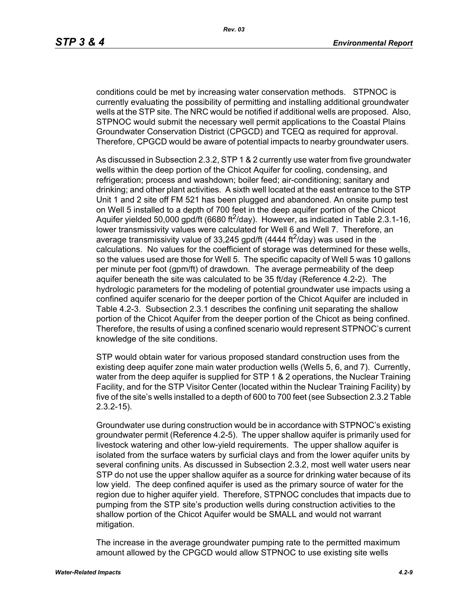conditions could be met by increasing water conservation methods. STPNOC is currently evaluating the possibility of permitting and installing additional groundwater wells at the STP site. The NRC would be notified if additional wells are proposed. Also, STPNOC would submit the necessary well permit applications to the Coastal Plains Groundwater Conservation District (CPGCD) and TCEQ as required for approval. Therefore, CPGCD would be aware of potential impacts to nearby groundwater users.

As discussed in Subsection 2.3.2, STP 1 & 2 currently use water from five groundwater wells within the deep portion of the Chicot Aquifer for cooling, condensing, and refrigeration; process and washdown; boiler feed; air-conditioning; sanitary and drinking; and other plant activities. A sixth well located at the east entrance to the STP Unit 1 and 2 site off FM 521 has been plugged and abandoned. An onsite pump test on Well 5 installed to a depth of 700 feet in the deep aquifer portion of the Chicot Aquifer yielded 50,000 gpd/ft (6680 ft<sup>2</sup>/day). However, as indicated in Table 2.3.1-16, lower transmissivity values were calculated for Well 6 and Well 7. Therefore, an average transmissivity value of 33,245 gpd/ft (4444 ft<sup>2</sup>/day) was used in the calculations. No values for the coefficient of storage was determined for these wells, so the values used are those for Well 5. The specific capacity of Well 5 was 10 gallons per minute per foot (gpm/ft) of drawdown. The average permeability of the deep aquifer beneath the site was calculated to be 35 ft/day (Reference 4.2-2). The hydrologic parameters for the modeling of potential groundwater use impacts using a confined aquifer scenario for the deeper portion of the Chicot Aquifer are included in Table 4.2-3. Subsection 2.3.1 describes the confining unit separating the shallow portion of the Chicot Aquifer from the deeper portion of the Chicot as being confined. Therefore, the results of using a confined scenario would represent STPNOC's current knowledge of the site conditions.

STP would obtain water for various proposed standard construction uses from the existing deep aquifer zone main water production wells (Wells 5, 6, and 7). Currently, water from the deep aquifer is supplied for STP 1 & 2 operations, the Nuclear Training Facility, and for the STP Visitor Center (located within the Nuclear Training Facility) by five of the site's wells installed to a depth of 600 to 700 feet (see Subsection 2.3.2 Table 2.3.2-15).

Groundwater use during construction would be in accordance with STPNOC's existing groundwater permit (Reference 4.2-5). The upper shallow aquifer is primarily used for livestock watering and other low-yield requirements. The upper shallow aquifer is isolated from the surface waters by surficial clays and from the lower aquifer units by several confining units. As discussed in Subsection 2.3.2, most well water users near STP do not use the upper shallow aquifer as a source for drinking water because of its low yield. The deep confined aquifer is used as the primary source of water for the region due to higher aquifer yield. Therefore, STPNOC concludes that impacts due to pumping from the STP site's production wells during construction activities to the shallow portion of the Chicot Aquifer would be SMALL and would not warrant mitigation.

The increase in the average groundwater pumping rate to the permitted maximum amount allowed by the CPGCD would allow STPNOC to use existing site wells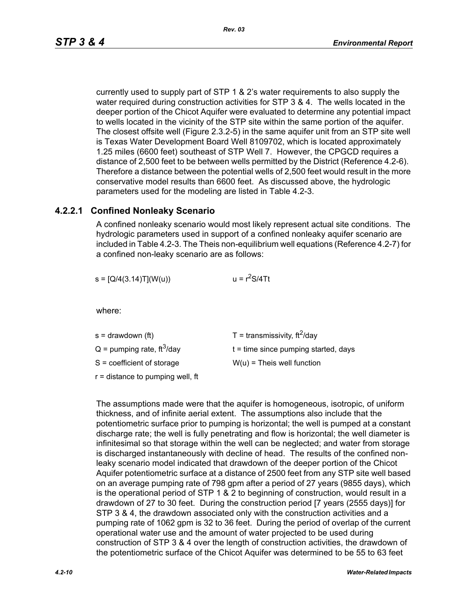currently used to supply part of STP 1 & 2's water requirements to also supply the water required during construction activities for STP 3 & 4. The wells located in the deeper portion of the Chicot Aquifer were evaluated to determine any potential impact to wells located in the vicinity of the STP site within the same portion of the aquifer. The closest offsite well (Figure 2.3.2-5) in the same aquifer unit from an STP site well is Texas Water Development Board Well 8109702, which is located approximately 1.25 miles (6600 feet) southeast of STP Well 7. However, the CPGCD requires a distance of 2,500 feet to be between wells permitted by the District (Reference 4.2-6). Therefore a distance between the potential wells of 2,500 feet would result in the more conservative model results than 6600 feet. As discussed above, the hydrologic parameters used for the modeling are listed in Table 4.2-3.

#### **4.2.2.1 Confined Nonleaky Scenario**

A confined nonleaky scenario would most likely represent actual site conditions. The hydrologic parameters used in support of a confined nonleaky aquifer scenario are included in Table 4.2-3. The Theis non-equilibrium well equations (Reference 4.2-7) for a confined non-leaky scenario are as follows:

| $s = [Q/4(3.14)T](W(u))$ | $u = r^2S/4Tt$ |
|--------------------------|----------------|
|                          |                |

where:

| s = drawdown (ft)                        | T = transmissivity, $ft^2$ /day        |
|------------------------------------------|----------------------------------------|
| $Q =$ pumping rate, ft <sup>3</sup> /day | $t =$ time since pumping started, days |
| S = coefficient of storage               | $W(u)$ = Theis well function           |
| r = distance to pumping well, ft         |                                        |

The assumptions made were that the aquifer is homogeneous, isotropic, of uniform thickness, and of infinite aerial extent. The assumptions also include that the potentiometric surface prior to pumping is horizontal; the well is pumped at a constant discharge rate; the well is fully penetrating and flow is horizontal; the well diameter is infinitesimal so that storage within the well can be neglected; and water from storage is discharged instantaneously with decline of head. The results of the confined nonleaky scenario model indicated that drawdown of the deeper portion of the Chicot Aquifer potentiometric surface at a distance of 2500 feet from any STP site well based on an average pumping rate of 798 gpm after a period of 27 years (9855 days), which is the operational period of STP 1 & 2 to beginning of construction, would result in a drawdown of 27 to 30 feet. During the construction period [7 years (2555 days)] for STP 3 & 4, the drawdown associated only with the construction activities and a pumping rate of 1062 gpm is 32 to 36 feet. During the period of overlap of the current operational water use and the amount of water projected to be used during construction of STP 3 & 4 over the length of construction activities, the drawdown of the potentiometric surface of the Chicot Aquifer was determined to be 55 to 63 feet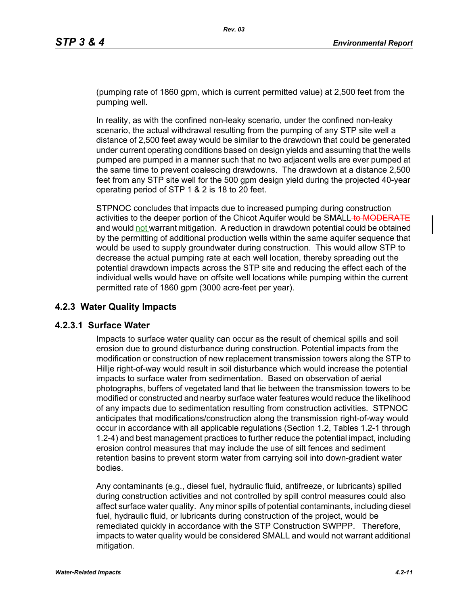(pumping rate of 1860 gpm, which is current permitted value) at 2,500 feet from the pumping well.

In reality, as with the confined non-leaky scenario, under the confined non-leaky scenario, the actual withdrawal resulting from the pumping of any STP site well a distance of 2,500 feet away would be similar to the drawdown that could be generated under current operating conditions based on design yields and assuming that the wells pumped are pumped in a manner such that no two adjacent wells are ever pumped at the same time to prevent coalescing drawdowns. The drawdown at a distance 2,500 feet from any STP site well for the 500 gpm design yield during the projected 40-year operating period of STP 1 & 2 is 18 to 20 feet.

STPNOC concludes that impacts due to increased pumping during construction activities to the deeper portion of the Chicot Aquifer would be SMALL to MODERATE and would not warrant mitigation. A reduction in drawdown potential could be obtained by the permitting of additional production wells within the same aquifer sequence that would be used to supply groundwater during construction. This would allow STP to decrease the actual pumping rate at each well location, thereby spreading out the potential drawdown impacts across the STP site and reducing the effect each of the individual wells would have on offsite well locations while pumping within the current permitted rate of 1860 gpm (3000 acre-feet per year).

### **4.2.3 Water Quality Impacts**

#### **4.2.3.1 Surface Water**

Impacts to surface water quality can occur as the result of chemical spills and soil erosion due to ground disturbance during construction. Potential impacts from the modification or construction of new replacement transmission towers along the STP to Hillje right-of-way would result in soil disturbance which would increase the potential impacts to surface water from sedimentation. Based on observation of aerial photographs, buffers of vegetated land that lie between the transmission towers to be modified or constructed and nearby surface water features would reduce the likelihood of any impacts due to sedimentation resulting from construction activities. STPNOC anticipates that modifications/construction along the transmission right-of-way would occur in accordance with all applicable regulations (Section 1.2, Tables 1.2-1 through 1.2-4) and best management practices to further reduce the potential impact, including erosion control measures that may include the use of silt fences and sediment retention basins to prevent storm water from carrying soil into down-gradient water bodies.

Any contaminants (e.g., diesel fuel, hydraulic fluid, antifreeze, or lubricants) spilled during construction activities and not controlled by spill control measures could also affect surface water quality. Any minor spills of potential contaminants, including diesel fuel, hydraulic fluid, or lubricants during construction of the project, would be remediated quickly in accordance with the STP Construction SWPPP. Therefore, impacts to water quality would be considered SMALL and would not warrant additional mitigation.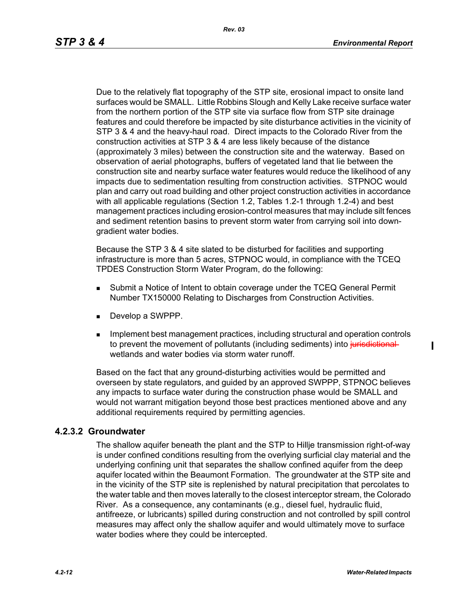Due to the relatively flat topography of the STP site, erosional impact to onsite land surfaces would be SMALL. Little Robbins Slough and Kelly Lake receive surface water from the northern portion of the STP site via surface flow from STP site drainage features and could therefore be impacted by site disturbance activities in the vicinity of STP 3 & 4 and the heavy-haul road. Direct impacts to the Colorado River from the construction activities at STP 3 & 4 are less likely because of the distance (approximately 3 miles) between the construction site and the waterway. Based on observation of aerial photographs, buffers of vegetated land that lie between the construction site and nearby surface water features would reduce the likelihood of any impacts due to sedimentation resulting from construction activities. STPNOC would plan and carry out road building and other project construction activities in accordance with all applicable regulations (Section 1.2, Tables 1.2-1 through 1.2-4) and best management practices including erosion-control measures that may include silt fences and sediment retention basins to prevent storm water from carrying soil into downgradient water bodies.

Because the STP 3 & 4 site slated to be disturbed for facilities and supporting infrastructure is more than 5 acres, STPNOC would, in compliance with the TCEQ TPDES Construction Storm Water Program, do the following:

- Submit a Notice of Intent to obtain coverage under the TCEQ General Permit Number TX150000 Relating to Discharges from Construction Activities.
- Develop a SWPPP.
- **IMPLEMENT MANAGEM** Implement practices, including structural and operation controls to prevent the movement of pollutants (including sediments) into jurisdictionalwetlands and water bodies via storm water runoff.

Based on the fact that any ground-disturbing activities would be permitted and overseen by state regulators, and guided by an approved SWPPP, STPNOC believes any impacts to surface water during the construction phase would be SMALL and would not warrant mitigation beyond those best practices mentioned above and any additional requirements required by permitting agencies.

#### **4.2.3.2 Groundwater**

The shallow aquifer beneath the plant and the STP to Hillje transmission right-of-way is under confined conditions resulting from the overlying surficial clay material and the underlying confining unit that separates the shallow confined aquifer from the deep aquifer located within the Beaumont Formation. The groundwater at the STP site and in the vicinity of the STP site is replenished by natural precipitation that percolates to the water table and then moves laterally to the closest interceptor stream, the Colorado River. As a consequence, any contaminants (e.g., diesel fuel, hydraulic fluid, antifreeze, or lubricants) spilled during construction and not controlled by spill control measures may affect only the shallow aquifer and would ultimately move to surface water bodies where they could be intercepted.

ı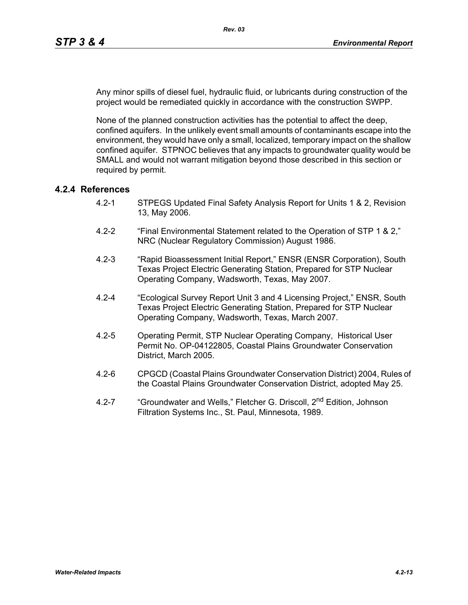Any minor spills of diesel fuel, hydraulic fluid, or lubricants during construction of the project would be remediated quickly in accordance with the construction SWPP.

None of the planned construction activities has the potential to affect the deep, confined aquifers. In the unlikely event small amounts of contaminants escape into the environment, they would have only a small, localized, temporary impact on the shallow confined aquifer. STPNOC believes that any impacts to groundwater quality would be SMALL and would not warrant mitigation beyond those described in this section or required by permit.

## **4.2.4 References**

- 4.2-1 STPEGS Updated Final Safety Analysis Report for Units 1 & 2, Revision 13, May 2006.
- 4.2-2 "Final Environmental Statement related to the Operation of STP 1 & 2," NRC (Nuclear Regulatory Commission) August 1986.
- 4.2-3 "Rapid Bioassessment Initial Report," ENSR (ENSR Corporation), South Texas Project Electric Generating Station, Prepared for STP Nuclear Operating Company, Wadsworth, Texas, May 2007.
- 4.2-4 "Ecological Survey Report Unit 3 and 4 Licensing Project," ENSR, South Texas Project Electric Generating Station, Prepared for STP Nuclear Operating Company, Wadsworth, Texas, March 2007.
- 4.2-5 Operating Permit, STP Nuclear Operating Company, Historical User Permit No. OP-04122805, Coastal Plains Groundwater Conservation District, March 2005.
- 4.2-6 CPGCD (Coastal Plains Groundwater Conservation District) 2004, Rules of the Coastal Plains Groundwater Conservation District, adopted May 25.
- 4.2-7 "Groundwater and Wells," Fletcher G. Driscoll, 2<sup>nd</sup> Edition, Johnson Filtration Systems Inc., St. Paul, Minnesota, 1989.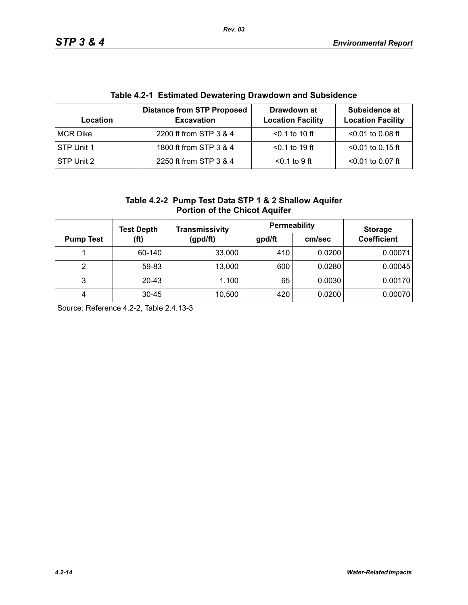| Table 4.2-T EStimated Dewatering Drawdown and Subsidence |                                                        |                                         |                                           |  |  |
|----------------------------------------------------------|--------------------------------------------------------|-----------------------------------------|-------------------------------------------|--|--|
| Location                                                 | <b>Distance from STP Proposed</b><br><b>Excavation</b> | Drawdown at<br><b>Location Facility</b> | Subsidence at<br><b>Location Facility</b> |  |  |
| MCR Dike                                                 | 2200 ft from STP 3 & 4                                 | $< 0.1$ to 10 ft                        | $< 0.01$ to 0.08 ft                       |  |  |
| STP Unit 1                                               | 1800 ft from STP 3 & 4                                 | $< 0.1$ to 19 ft                        | $<$ 0.01 to 0.15 ft                       |  |  |
| STP Unit 2                                               | 2250 ft from STP 3 & 4                                 | $0.1$ to 9 ft                           | $< 0.01$ to 0.07 ft                       |  |  |

# **Table 4.2-1 Estimated Dewatering Drawdown and Subsidence**

| Table 4.2-2 Pump Test Data STP 1 & 2 Shallow Aquifer |
|------------------------------------------------------|
| <b>Portion of the Chicot Aquifer</b>                 |

|                          | <b>Test Depth</b> | Transmissivity | <b>Permeability</b> |                    | <b>Storage</b> |
|--------------------------|-------------------|----------------|---------------------|--------------------|----------------|
| (ft)<br><b>Pump Test</b> | (gpd/ft)          | gpd/ft         | cm/sec              | <b>Coefficient</b> |                |
|                          | 60-140            | 33,000         | 410                 | 0.0200             | 0.00071        |
| 2                        | 59-83             | 13,000         | 600                 | 0.0280             | 0.00045        |
| 3                        | $20 - 43$         | 1,100          | 65                  | 0.0030             | 0.00170        |
| 4                        | $30 - 45$         | 10,500         | 420                 | 0.0200             | 0.00070        |

Source: Reference 4.2-2, Table 2.4.13-3